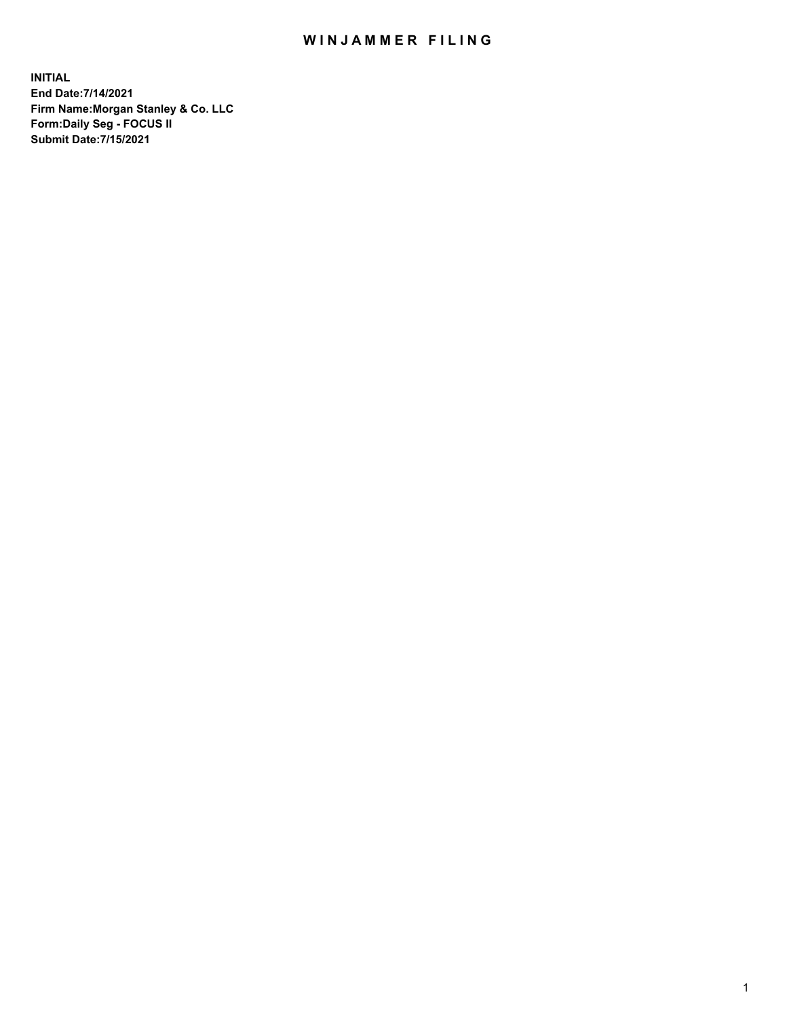## WIN JAMMER FILING

**INITIAL End Date:7/14/2021 Firm Name:Morgan Stanley & Co. LLC Form:Daily Seg - FOCUS II Submit Date:7/15/2021**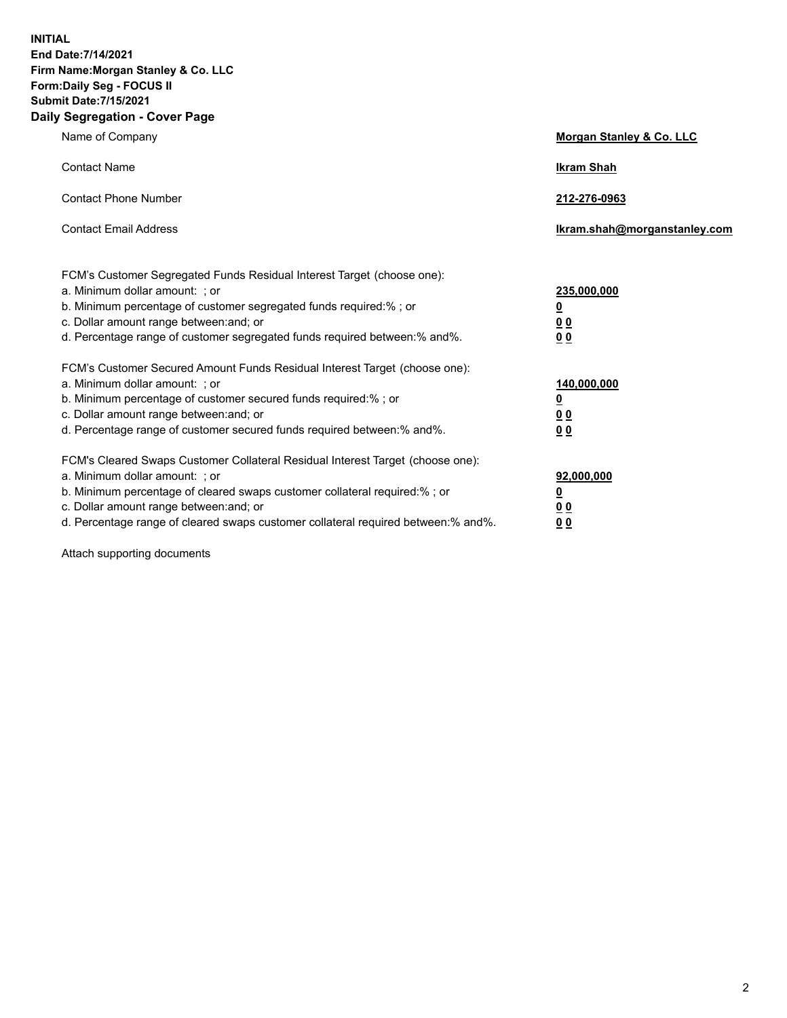**INITIAL End Date:7/14/2021 Firm Name:Morgan Stanley & Co. LLC Form:Daily Seg - FOCUS II Submit Date:7/15/2021 Daily Segregation - Cover Page**

| Name of Company                                                                                                                                                                                                                                                                                                                | <b>Morgan Stanley &amp; Co. LLC</b>                         |
|--------------------------------------------------------------------------------------------------------------------------------------------------------------------------------------------------------------------------------------------------------------------------------------------------------------------------------|-------------------------------------------------------------|
| <b>Contact Name</b>                                                                                                                                                                                                                                                                                                            | <b>Ikram Shah</b>                                           |
| <b>Contact Phone Number</b>                                                                                                                                                                                                                                                                                                    | 212-276-0963                                                |
| <b>Contact Email Address</b>                                                                                                                                                                                                                                                                                                   | Ikram.shah@morganstanley.com                                |
| FCM's Customer Segregated Funds Residual Interest Target (choose one):<br>a. Minimum dollar amount: ; or<br>b. Minimum percentage of customer segregated funds required:%; or<br>c. Dollar amount range between: and; or<br>d. Percentage range of customer segregated funds required between:% and%.                          | 235,000,000<br><u>0</u><br>0 <sub>0</sub><br>0 <sub>0</sub> |
| FCM's Customer Secured Amount Funds Residual Interest Target (choose one):<br>a. Minimum dollar amount: ; or<br>b. Minimum percentage of customer secured funds required:% ; or<br>c. Dollar amount range between: and; or<br>d. Percentage range of customer secured funds required between:% and%.                           | 140,000,000<br><u>0</u><br>0 <sub>0</sub><br>0 <sub>0</sub> |
| FCM's Cleared Swaps Customer Collateral Residual Interest Target (choose one):<br>a. Minimum dollar amount: ; or<br>b. Minimum percentage of cleared swaps customer collateral required:% ; or<br>c. Dollar amount range between: and; or<br>d. Percentage range of cleared swaps customer collateral required between:% and%. | 92,000,000<br><u>0</u><br><u>00</u><br>0 <sub>0</sub>       |

Attach supporting documents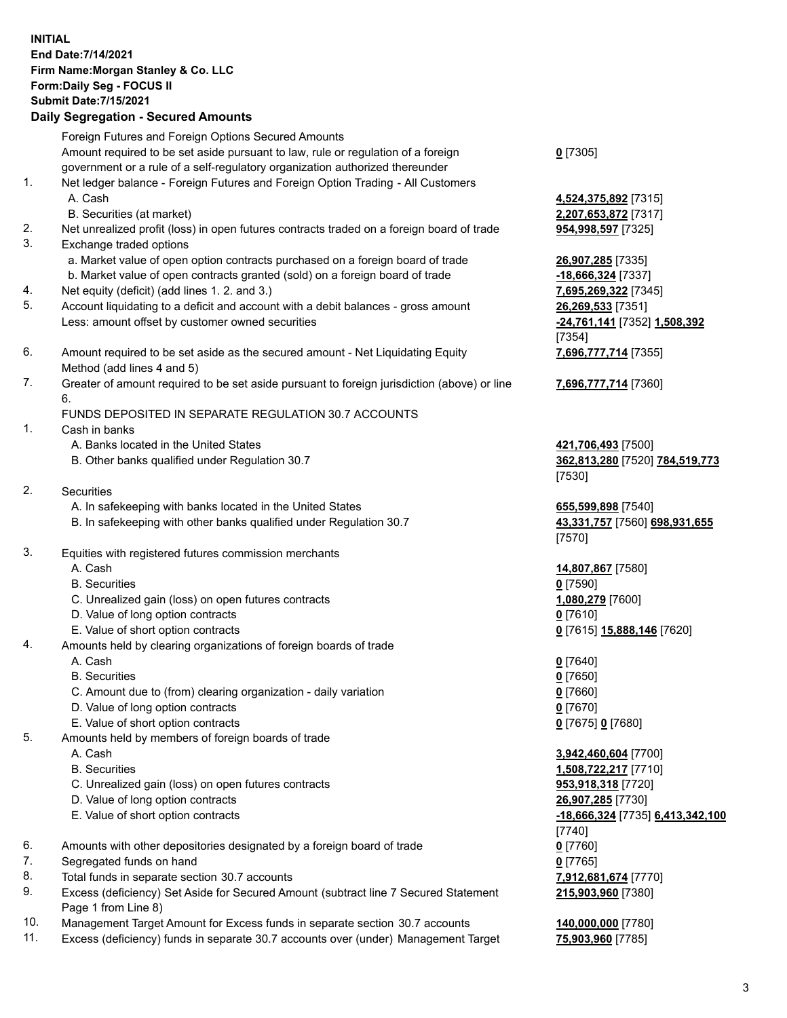## **INITIAL End Date:7/14/2021 Firm Name:Morgan Stanley & Co. LLC Form:Daily Seg - FOCUS II Submit Date:7/15/2021**

**Daily Segregation - Secured Amounts** Foreign Futures and Foreign Options Secured Amounts Amount required to be set aside pursuant to law, rule or regulation of a foreign government or a rule of a self-regulatory organization authorized thereunder 1. Net ledger balance - Foreign Futures and Foreign Option Trading - All Customers A. Cash **4,524,375,892** [7315] B. Securities (at market) **2,207,653,872** [7317] 2. Net unrealized profit (loss) in open futures contracts traded on a foreign board of trade **954,998,597** [7325] 3. Exchange traded options a. Market value of open option contracts purchased on a foreign board of trade **26,907,285** [7335] b. Market value of open contracts granted (sold) on a foreign board of trade **-18,666,324** [7337] 4. Net equity (deficit) (add lines 1. 2. and 3.) **7,695,269,322** [7345] 5. Account liquidating to a deficit and account with a debit balances - gross amount **26,269,533** [7351] Less: amount offset by customer owned securities **-24,761,141** [7352] **1,508,392** 6. Amount required to be set aside as the secured amount - Net Liquidating Equity Method (add lines 4 and 5) 7. Greater of amount required to be set aside pursuant to foreign jurisdiction (above) or line 6. FUNDS DEPOSITED IN SEPARATE REGULATION 30.7 ACCOUNTS 1. Cash in banks A. Banks located in the United States **421,706,493** [7500] B. Other banks qualified under Regulation 30.7 **362,813,280** [7520] **784,519,773** 2. Securities A. In safekeeping with banks located in the United States **655,599,898** [7540] B. In safekeeping with other banks qualified under Regulation 30.7 **43,331,757** [7560] **698,931,655** 3. Equities with registered futures commission merchants A. Cash **14,807,867** [7580] B. Securities **0** [7590] C. Unrealized gain (loss) on open futures contracts **1,080,279** [7600] D. Value of long option contracts **0** [7610] E. Value of short option contracts **0** [7615] **15,888,146** [7620] 4. Amounts held by clearing organizations of foreign boards of trade A. Cash **0** [7640] B. Securities **0** [7650] C. Amount due to (from) clearing organization - daily variation **0** [7660] D. Value of long option contracts **0** [7670] E. Value of short option contracts **0** [7675] **0** [7680] 5. Amounts held by members of foreign boards of trade A. Cash **3,942,460,604** [7700] B. Securities **1,508,722,217** [7710] C. Unrealized gain (loss) on open futures contracts **953,918,318** [7720]

- 
- 
- 6. Amounts with other depositories designated by a foreign board of trade **0** [7760]
- 7. Segregated funds on hand **0** [7765]
- 8. Total funds in separate section 30.7 accounts **7,912,681,674** [7770]
- 9. Excess (deficiency) Set Aside for Secured Amount (subtract line 7 Secured Statement Page 1 from Line 8)
- 10. Management Target Amount for Excess funds in separate section 30.7 accounts **140,000,000** [7780]
- 11. Excess (deficiency) funds in separate 30.7 accounts over (under) Management Target **75,903,960** [7785]

**0** [7305]

[7354] **7,696,777,714** [7355]

**7,696,777,714** [7360]

[7530]

[7570]

 D. Value of long option contracts **26,907,285** [7730] E. Value of short option contracts **-18,666,324** [7735] **6,413,342,100** [7740] **215,903,960** [7380]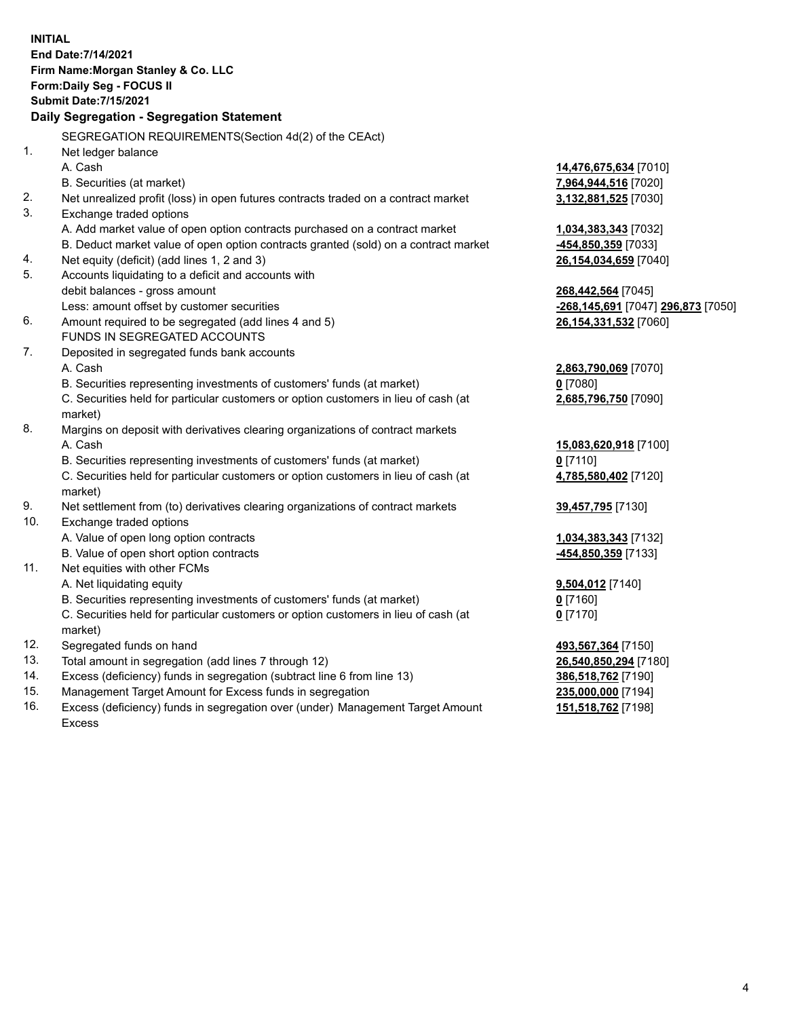**INITIAL End Date:7/14/2021 Firm Name:Morgan Stanley & Co. LLC Form:Daily Seg - FOCUS II Submit Date:7/15/2021 Daily Segregation - Segregation Statement** SEGREGATION REQUIREMENTS(Section 4d(2) of the CEAct) 1. Net ledger balance A. Cash **14,476,675,634** [7010] B. Securities (at market) **7,964,944,516** [7020] 2. Net unrealized profit (loss) in open futures contracts traded on a contract market **3,132,881,525** [7030] 3. Exchange traded options A. Add market value of open option contracts purchased on a contract market **1,034,383,343** [7032] B. Deduct market value of open option contracts granted (sold) on a contract market **-454,850,359** [7033] 4. Net equity (deficit) (add lines 1, 2 and 3) **26,154,034,659** [7040] 5. Accounts liquidating to a deficit and accounts with debit balances - gross amount **268,442,564** [7045] Less: amount offset by customer securities **-268,145,691** [7047] **296,873** [7050] 6. Amount required to be segregated (add lines 4 and 5) **26,154,331,532** [7060] FUNDS IN SEGREGATED ACCOUNTS 7. Deposited in segregated funds bank accounts A. Cash **2,863,790,069** [7070] B. Securities representing investments of customers' funds (at market) **0** [7080] C. Securities held for particular customers or option customers in lieu of cash (at market) **2,685,796,750** [7090] 8. Margins on deposit with derivatives clearing organizations of contract markets A. Cash **15,083,620,918** [7100] B. Securities representing investments of customers' funds (at market) **0** [7110] C. Securities held for particular customers or option customers in lieu of cash (at market) **4,785,580,402** [7120] 9. Net settlement from (to) derivatives clearing organizations of contract markets **39,457,795** [7130] 10. Exchange traded options A. Value of open long option contracts **1,034,383,343** [7132] B. Value of open short option contracts **-454,850,359** [7133] 11. Net equities with other FCMs A. Net liquidating equity **9,504,012** [7140] B. Securities representing investments of customers' funds (at market) **0** [7160] C. Securities held for particular customers or option customers in lieu of cash (at market) **0** [7170] 12. Segregated funds on hand **493,567,364** [7150] 13. Total amount in segregation (add lines 7 through 12) **26,540,850,294** [7180] 14. Excess (deficiency) funds in segregation (subtract line 6 from line 13) **386,518,762** [7190] 15. Management Target Amount for Excess funds in segregation **235,000,000** [7194]

16. Excess (deficiency) funds in segregation over (under) Management Target Amount Excess

**151,518,762** [7198]